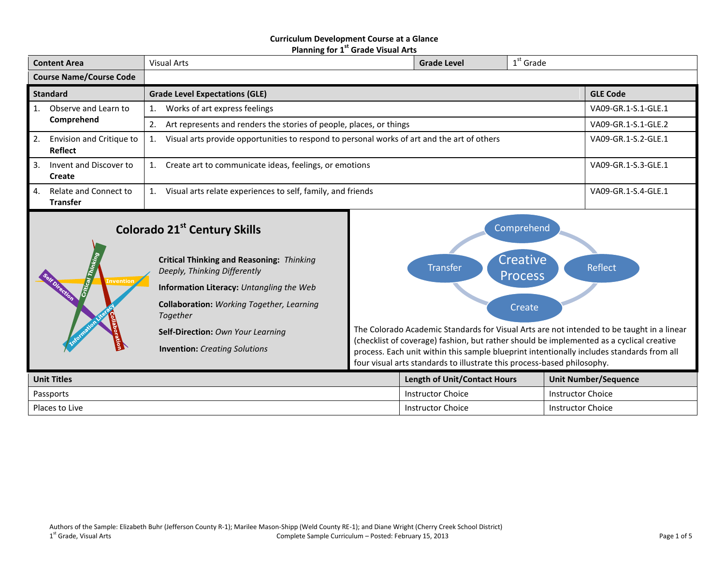#### **Curriculum Development Course at a Glance Planning for 1 st Grade Visual Arts**

| <b>Content Area</b>                                                                                                                                                                                                                                                                                                          | <b>Visual Arts</b>                                                     |                                                                                                                    | <b>Grade Level</b>                                                                         | $1st$ Grade                                               |                                                                                                                                                                                                                                                                                               |
|------------------------------------------------------------------------------------------------------------------------------------------------------------------------------------------------------------------------------------------------------------------------------------------------------------------------------|------------------------------------------------------------------------|--------------------------------------------------------------------------------------------------------------------|--------------------------------------------------------------------------------------------|-----------------------------------------------------------|-----------------------------------------------------------------------------------------------------------------------------------------------------------------------------------------------------------------------------------------------------------------------------------------------|
| <b>Course Name/Course Code</b>                                                                                                                                                                                                                                                                                               |                                                                        |                                                                                                                    |                                                                                            |                                                           |                                                                                                                                                                                                                                                                                               |
| <b>Standard</b>                                                                                                                                                                                                                                                                                                              | <b>Grade Level Expectations (GLE)</b><br><b>GLE Code</b>               |                                                                                                                    |                                                                                            |                                                           |                                                                                                                                                                                                                                                                                               |
| $\mathbf{1}$ .<br>Observe and Learn to                                                                                                                                                                                                                                                                                       | Works of art express feelings                                          |                                                                                                                    |                                                                                            |                                                           | VA09-GR.1-S.1-GLE.1                                                                                                                                                                                                                                                                           |
| Comprehend                                                                                                                                                                                                                                                                                                                   | 2. Art represents and renders the stories of people, places, or things |                                                                                                                    |                                                                                            |                                                           | VA09-GR.1-S.1-GLE.2                                                                                                                                                                                                                                                                           |
| 2.<br>Envision and Critique to<br>Reflect                                                                                                                                                                                                                                                                                    |                                                                        | Visual arts provide opportunities to respond to personal works of art and the art of others<br>VA09-GR.1-S.2-GLE.1 |                                                                                            |                                                           |                                                                                                                                                                                                                                                                                               |
| 3.<br>Invent and Discover to<br>Create                                                                                                                                                                                                                                                                                       | Create art to communicate ideas, feelings, or emotions<br>1.           |                                                                                                                    |                                                                                            | VA09-GR.1-S.3-GLE.1                                       |                                                                                                                                                                                                                                                                                               |
| Relate and Connect to<br>4.<br><b>Transfer</b>                                                                                                                                                                                                                                                                               | Visual arts relate experiences to self, family, and friends<br>1.      |                                                                                                                    |                                                                                            | VA09-GR.1-S.4-GLE.1                                       |                                                                                                                                                                                                                                                                                               |
| <b>Colorado 21st Century Skills</b><br><b>Critical Thinking and Reasoning: Thinking</b><br>Deeply, Thinking Differently<br>nvention<br>Information Literacy: Untangling the Web<br>Collaboration: Working Together, Learning<br>Together<br><b>Self-Direction: Own Your Learning</b><br><b>Invention:</b> Creating Solutions |                                                                        |                                                                                                                    | <b>Transfer</b><br>four visual arts standards to illustrate this process-based philosophy. | Comprehend<br><b>Creative</b><br><b>Process</b><br>Create | Reflect<br>The Colorado Academic Standards for Visual Arts are not intended to be taught in a linear<br>(checklist of coverage) fashion, but rather should be implemented as a cyclical creative<br>process. Each unit within this sample blueprint intentionally includes standards from all |
| <b>Unit Titles</b>                                                                                                                                                                                                                                                                                                           |                                                                        |                                                                                                                    | <b>Length of Unit/Contact Hours</b>                                                        |                                                           | <b>Unit Number/Sequence</b>                                                                                                                                                                                                                                                                   |
| Passports                                                                                                                                                                                                                                                                                                                    |                                                                        |                                                                                                                    | <b>Instructor Choice</b>                                                                   |                                                           | <b>Instructor Choice</b>                                                                                                                                                                                                                                                                      |
| Places to Live                                                                                                                                                                                                                                                                                                               |                                                                        |                                                                                                                    | <b>Instructor Choice</b>                                                                   |                                                           | <b>Instructor Choice</b>                                                                                                                                                                                                                                                                      |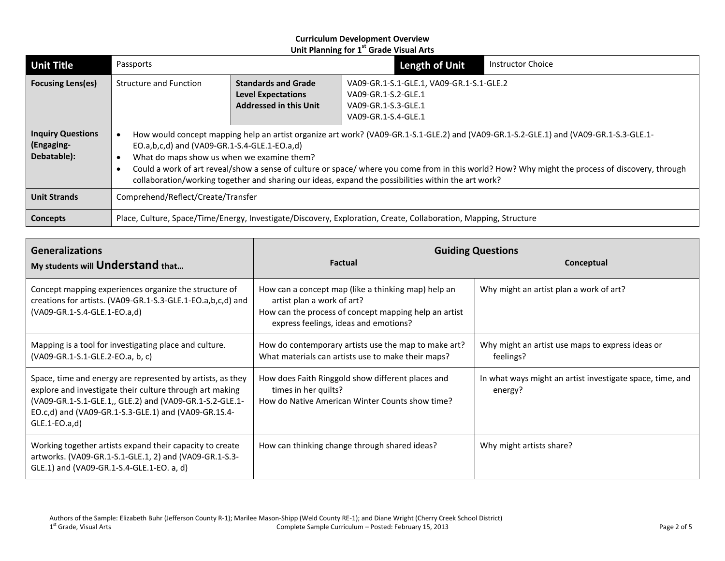| <b>Unit Title</b>                                     | Passports                                                                                                        |                                                                                          | <b>Length of Unit</b>                                                                                         | <b>Instructor Choice</b>                                                                                                                                                                                                                                                                  |
|-------------------------------------------------------|------------------------------------------------------------------------------------------------------------------|------------------------------------------------------------------------------------------|---------------------------------------------------------------------------------------------------------------|-------------------------------------------------------------------------------------------------------------------------------------------------------------------------------------------------------------------------------------------------------------------------------------------|
| <b>Focusing Lens(es)</b>                              | <b>Structure and Function</b>                                                                                    | <b>Standards and Grade</b><br><b>Level Expectations</b><br><b>Addressed in this Unit</b> | VA09-GR.1-S.1-GLE.1, VA09-GR.1-S.1-GLE.2<br>VA09-GR.1-S.2-GLE.1<br>VA09-GR.1-S.3-GLE.1<br>VA09-GR.1-S.4-GLE.1 |                                                                                                                                                                                                                                                                                           |
| <b>Inquiry Questions</b><br>(Engaging-<br>Debatable): | $EO.a, b, c, d$ and (VA09-GR.1-S.4-GLE.1-EO.a,d)<br>What do maps show us when we examine them?                   |                                                                                          | collaboration/working together and sharing our ideas, expand the possibilities within the art work?           | How would concept mapping help an artist organize art work? (VA09-GR.1-S.1-GLE.2) and (VA09-GR.1-S.2-GLE.1) and (VA09-GR.1-S.3-GLE.1-<br>Could a work of art reveal/show a sense of culture or space/ where you come from in this world? How? Why might the process of discovery, through |
| <b>Unit Strands</b>                                   | Comprehend/Reflect/Create/Transfer                                                                               |                                                                                          |                                                                                                               |                                                                                                                                                                                                                                                                                           |
| Concepts                                              | Place, Culture, Space/Time/Energy, Investigate/Discovery, Exploration, Create, Collaboration, Mapping, Structure |                                                                                          |                                                                                                               |                                                                                                                                                                                                                                                                                           |

| <b>Generalizations</b><br>My students will Understand that                                                                                                                                                                                                                                                                                                                                   | <b>Factual</b>                                                                                                                                                                      | <b>Guiding Questions</b><br>Conceptual                               |  |
|----------------------------------------------------------------------------------------------------------------------------------------------------------------------------------------------------------------------------------------------------------------------------------------------------------------------------------------------------------------------------------------------|-------------------------------------------------------------------------------------------------------------------------------------------------------------------------------------|----------------------------------------------------------------------|--|
| Concept mapping experiences organize the structure of<br>creations for artists. (VA09-GR.1-S.3-GLE.1-EO.a,b,c,d) and<br>(VA09-GR.1-S.4-GLE.1-EO.a,d)                                                                                                                                                                                                                                         | How can a concept map (like a thinking map) help an<br>artist plan a work of art?<br>How can the process of concept mapping help an artist<br>express feelings, ideas and emotions? | Why might an artist plan a work of art?                              |  |
| Mapping is a tool for investigating place and culture.<br>(VA09-GR.1-S.1-GLE.2-EO.a, b, c)                                                                                                                                                                                                                                                                                                   | How do contemporary artists use the map to make art?<br>What materials can artists use to make their maps?                                                                          | Why might an artist use maps to express ideas or<br>feelings?        |  |
| Space, time and energy are represented by artists, as they<br>How does Faith Ringgold show different places and<br>explore and investigate their culture through art making<br>times in her quilts?<br>(VA09-GR.1-S.1-GLE.1,, GLE.2) and (VA09-GR.1-S.2-GLE.1-<br>How do Native American Winter Counts show time?<br>EO.c,d) and (VA09-GR.1-S.3-GLE.1) and (VA09-GR.1S.4-<br>$GLE.1-EO.a,d)$ |                                                                                                                                                                                     | In what ways might an artist investigate space, time, and<br>energy? |  |
| Working together artists expand their capacity to create<br>artworks. (VA09-GR.1-S.1-GLE.1, 2) and (VA09-GR.1-S.3-<br>GLE.1) and (VA09-GR.1-S.4-GLE.1-EO. a, d)                                                                                                                                                                                                                              | How can thinking change through shared ideas?                                                                                                                                       | Why might artists share?                                             |  |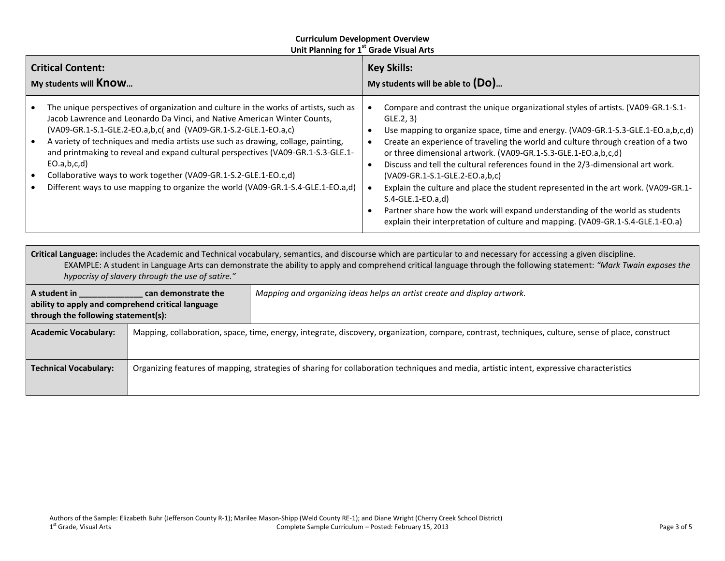| <b>Critical Content:</b>                                                                                                                                                                                                                                                                                                                                                                                                                                                                                                                                                            | <b>Key Skills:</b>                                                                                                                                                                                                                                                                                                                                                                                                                                                                                                                                                                                                                                                                                                                              |  |  |
|-------------------------------------------------------------------------------------------------------------------------------------------------------------------------------------------------------------------------------------------------------------------------------------------------------------------------------------------------------------------------------------------------------------------------------------------------------------------------------------------------------------------------------------------------------------------------------------|-------------------------------------------------------------------------------------------------------------------------------------------------------------------------------------------------------------------------------------------------------------------------------------------------------------------------------------------------------------------------------------------------------------------------------------------------------------------------------------------------------------------------------------------------------------------------------------------------------------------------------------------------------------------------------------------------------------------------------------------------|--|--|
| My students will Know                                                                                                                                                                                                                                                                                                                                                                                                                                                                                                                                                               | My students will be able to $(D_0)$                                                                                                                                                                                                                                                                                                                                                                                                                                                                                                                                                                                                                                                                                                             |  |  |
| The unique perspectives of organization and culture in the works of artists, such as<br>Jacob Lawrence and Leonardo Da Vinci, and Native American Winter Counts,<br>(VA09-GR.1-S.1-GLE.2-EO.a,b,c( and (VA09-GR.1-S.2-GLE.1-EO.a,c)<br>A variety of techniques and media artists use such as drawing, collage, painting,<br>and printmaking to reveal and expand cultural perspectives (VA09-GR.1-S.3-GLE.1-<br>EO.a,b,c,d)<br>Collaborative ways to work together (VA09-GR.1-S.2-GLE.1-EO.c,d)<br>Different ways to use mapping to organize the world (VA09-GR.1-S.4-GLE.1-EO.a,d) | Compare and contrast the unique organizational styles of artists. (VA09-GR.1-S.1-<br>GLE.2, 3)<br>Use mapping to organize space, time and energy. (VA09-GR.1-S.3-GLE.1-EO.a,b,c,d)<br>Create an experience of traveling the world and culture through creation of a two<br>or three dimensional artwork. (VA09-GR.1-S.3-GLE.1-EO.a,b,c,d)<br>Discuss and tell the cultural references found in the 2/3-dimensional art work.<br>(VA09-GR.1-S.1-GLE.2-EO.a,b,c)<br>Explain the culture and place the student represented in the art work. (VA09-GR.1-<br>$S.4-GLE.1-EO.a.d)$<br>Partner share how the work will expand understanding of the world as students<br>explain their interpretation of culture and mapping. (VA09-GR.1-S.4-GLE.1-EO.a) |  |  |

**Critical Language:** includes the Academic and Technical vocabulary, semantics, and discourse which are particular to and necessary for accessing a given discipline. EXAMPLE: A student in Language Arts can demonstrate the ability to apply and comprehend critical language through the following statement: *"Mark Twain exposes the hypocrisy of slavery through the use of satire."*

| A student in<br>can demonstrate the<br>ability to apply and comprehend critical language<br>through the following statement(s): |  | Mapping and organizing ideas helps an artist create and display artwork.                                                                           |  |  |
|---------------------------------------------------------------------------------------------------------------------------------|--|----------------------------------------------------------------------------------------------------------------------------------------------------|--|--|
| <b>Academic Vocabulary:</b>                                                                                                     |  | Mapping, collaboration, space, time, energy, integrate, discovery, organization, compare, contrast, techniques, culture, sense of place, construct |  |  |
|                                                                                                                                 |  |                                                                                                                                                    |  |  |
| <b>Technical Vocabulary:</b>                                                                                                    |  | Organizing features of mapping, strategies of sharing for collaboration techniques and media, artistic intent, expressive characteristics          |  |  |
|                                                                                                                                 |  |                                                                                                                                                    |  |  |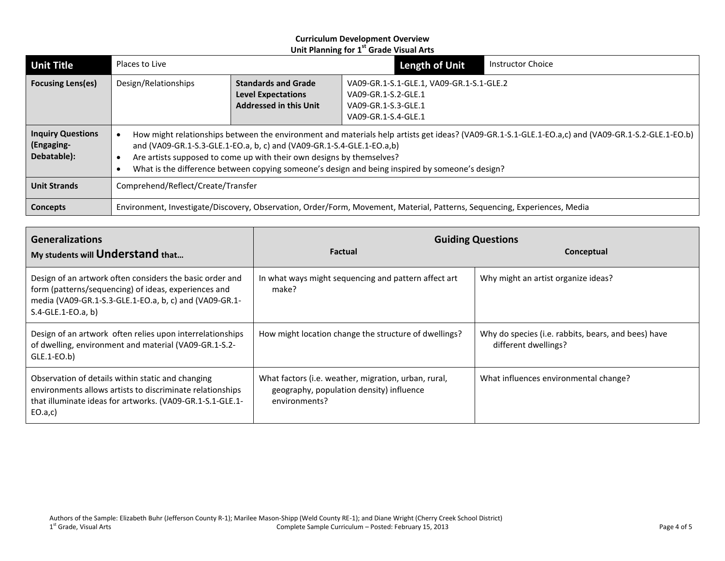| <b>Unit Title</b>                                     | Places to Live                                                                                                                                                                                                                                                                                                                                                                                         |                                                                                          | Length of Unit                                                                                                            | <b>Instructor Choice</b> |
|-------------------------------------------------------|--------------------------------------------------------------------------------------------------------------------------------------------------------------------------------------------------------------------------------------------------------------------------------------------------------------------------------------------------------------------------------------------------------|------------------------------------------------------------------------------------------|---------------------------------------------------------------------------------------------------------------------------|--------------------------|
| <b>Focusing Lens(es)</b>                              | Design/Relationships                                                                                                                                                                                                                                                                                                                                                                                   | <b>Standards and Grade</b><br><b>Level Expectations</b><br><b>Addressed in this Unit</b> | VA09-GR.1-S.1-GLE.1, VA09-GR.1-S.1-GLE.2<br>VA09-GR.1-S.2-GLE.1<br>VA09-GR.1-S.3-GLE.1<br>VA09-GR.1-S.4-GLE.1             |                          |
| <b>Inquiry Questions</b><br>(Engaging-<br>Debatable): | How might relationships between the environment and materials help artists get ideas? (VA09-GR.1-S.1-GLE.1-EO.a,c) and (VA09-GR.1-S.2-GLE.1-EO.b)<br>and (VA09-GR.1-S.3-GLE.1-EO.a, b, c) and (VA09-GR.1-S.4-GLE.1-EO.a,b)<br>Are artists supposed to come up with their own designs by themselves?<br>What is the difference between copying someone's design and being inspired by someone's design? |                                                                                          |                                                                                                                           |                          |
| <b>Unit Strands</b>                                   | Comprehend/Reflect/Create/Transfer                                                                                                                                                                                                                                                                                                                                                                     |                                                                                          |                                                                                                                           |                          |
| Concepts                                              |                                                                                                                                                                                                                                                                                                                                                                                                        |                                                                                          | Environment, Investigate/Discovery, Observation, Order/Form, Movement, Material, Patterns, Sequencing, Experiences, Media |                          |

| <b>Generalizations</b>                                                                                                                                                                             | <b>Guiding Questions</b>                                                                                          |                                                                             |  |  |
|----------------------------------------------------------------------------------------------------------------------------------------------------------------------------------------------------|-------------------------------------------------------------------------------------------------------------------|-----------------------------------------------------------------------------|--|--|
| My students will Understand that                                                                                                                                                                   | <b>Factual</b>                                                                                                    | Conceptual                                                                  |  |  |
| Design of an artwork often considers the basic order and<br>form (patterns/sequencing) of ideas, experiences and<br>media (VA09-GR.1-S.3-GLE.1-EO.a, b, c) and (VA09-GR.1-<br>$S.4-GLE.1-EO.a, b)$ | In what ways might sequencing and pattern affect art<br>make?                                                     | Why might an artist organize ideas?                                         |  |  |
| Design of an artwork often relies upon interrelationships<br>of dwelling, environment and material (VA09-GR.1-S.2-<br>$GLE.1-EO.b)$                                                                | How might location change the structure of dwellings?                                                             | Why do species (i.e. rabbits, bears, and bees) have<br>different dwellings? |  |  |
| Observation of details within static and changing<br>environments allows artists to discriminate relationships<br>that illuminate ideas for artworks. (VA09-GR.1-S.1-GLE.1-<br>EO.a, c)            | What factors (i.e. weather, migration, urban, rural,<br>geography, population density) influence<br>environments? | What influences environmental change?                                       |  |  |